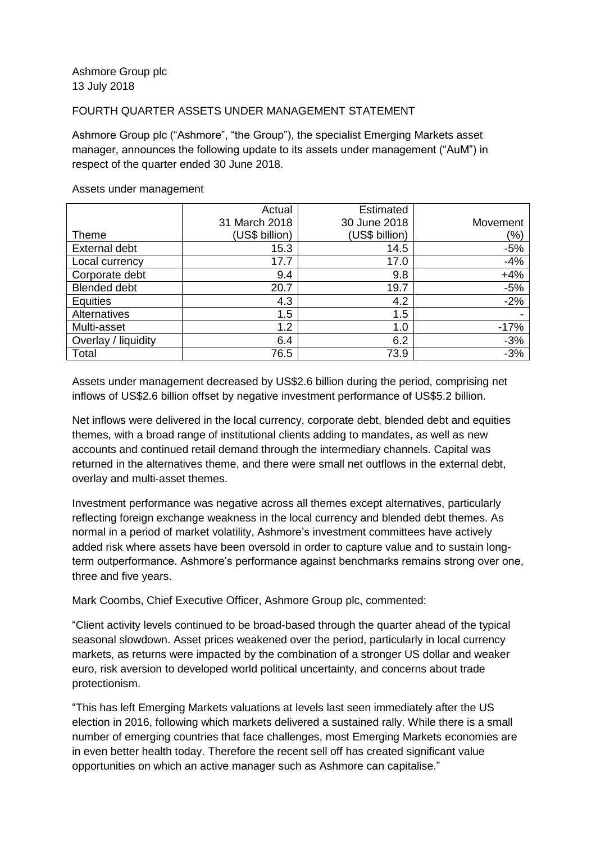## FOURTH QUARTER ASSETS UNDER MANAGEMENT STATEMENT

Ashmore Group plc ("Ashmore", "the Group"), the specialist Emerging Markets asset manager, announces the following update to its assets under management ("AuM") in respect of the quarter ended 30 June 2018.

|                     | Actual         | Estimated      |          |
|---------------------|----------------|----------------|----------|
|                     | 31 March 2018  | 30 June 2018   | Movement |
| <b>Theme</b>        | (US\$ billion) | (US\$ billion) | (%)      |
| External debt       | 15.3           | 14.5           | $-5%$    |
| Local currency      | 17.7           | 17.0           | $-4%$    |
| Corporate debt      | 9.4            | 9.8            | $+4%$    |
| <b>Blended debt</b> | 20.7           | 19.7           | $-5%$    |
| Equities            | 4.3            | 4.2            | $-2%$    |
| Alternatives        | 1.5            | 1.5            |          |
| Multi-asset         | 1.2            | 1.0            | $-17%$   |
| Overlay / liquidity | 6.4            | 6.2            | $-3%$    |
| Total               | 76.5           | 73.9           | $-3%$    |

## Assets under management

Assets under management decreased by US\$2.6 billion during the period, comprising net inflows of US\$2.6 billion offset by negative investment performance of US\$5.2 billion.

Net inflows were delivered in the local currency, corporate debt, blended debt and equities themes, with a broad range of institutional clients adding to mandates, as well as new accounts and continued retail demand through the intermediary channels. Capital was returned in the alternatives theme, and there were small net outflows in the external debt, overlay and multi-asset themes.

Investment performance was negative across all themes except alternatives, particularly reflecting foreign exchange weakness in the local currency and blended debt themes. As normal in a period of market volatility, Ashmore's investment committees have actively added risk where assets have been oversold in order to capture value and to sustain longterm outperformance. Ashmore's performance against benchmarks remains strong over one, three and five years.

Mark Coombs, Chief Executive Officer, Ashmore Group plc, commented:

"Client activity levels continued to be broad-based through the quarter ahead of the typical seasonal slowdown. Asset prices weakened over the period, particularly in local currency markets, as returns were impacted by the combination of a stronger US dollar and weaker euro, risk aversion to developed world political uncertainty, and concerns about trade protectionism.

"This has left Emerging Markets valuations at levels last seen immediately after the US election in 2016, following which markets delivered a sustained rally. While there is a small number of emerging countries that face challenges, most Emerging Markets economies are in even better health today. Therefore the recent sell off has created significant value opportunities on which an active manager such as Ashmore can capitalise."